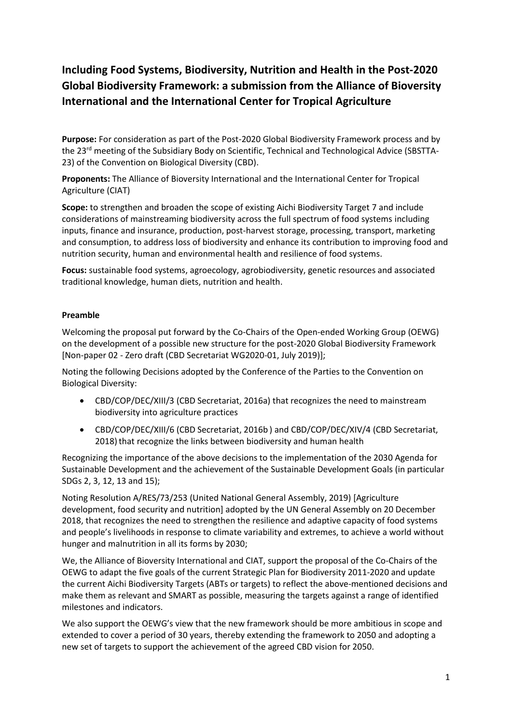# **Including Food Systems, Biodiversity, Nutrition and Health in the Post-2020 Global Biodiversity Framework: a submission from the Alliance of Bioversity International and the International Center for Tropical Agriculture**

**Purpose:** For consideration as part of the Post-2020 Global Biodiversity Framework process and by the 23<sup>rd</sup> meeting of the Subsidiary Body on Scientific, Technical and Technological Advice (SBSTTA-23) of the Convention on Biological Diversity (CBD).

**Proponents:** The Alliance of Bioversity International and the International Center for Tropical Agriculture (CIAT)

**Scope:** to strengthen and broaden the scope of existing Aichi Biodiversity Target 7 and include considerations of mainstreaming biodiversity across the full spectrum of food systems including inputs, finance and insurance, production, post-harvest storage, processing, transport, marketing and consumption, to address loss of biodiversity and enhance its contribution to improving food and nutrition security, human and environmental health and resilience of food systems.

**Focus:** sustainable food systems, agroecology, agrobiodiversity, genetic resources and associated traditional knowledge, human diets, nutrition and health.

#### **Preamble**

Welcoming the proposal put forward by the Co-Chairs of the Open-ended Working Group (OEWG) on the development of a possible new structure for the post-2020 Global Biodiversity Framework [Non-paper 02 - Zero draft (CBD Secretariat WG2020-01, July 2019)];

Noting the following Decisions adopted by the Conference of the Parties to the Convention on Biological Diversity:

- CBD/COP/DEC/XIII/3 (CBD Secretariat, 2016a) that recognizes the need to mainstream biodiversity into agriculture practices
- CBD/COP/DEC/XIII/6 (CBD Secretariat, 2016b ) and CBD/COP/DEC/XIV/4 (CBD Secretariat, 2018) that recognize the links between biodiversity and human health

Recognizing the importance of the above decisions to the implementation of the 2030 Agenda for Sustainable Development and the achievement of the Sustainable Development Goals (in particular SDGs 2, 3, 12, 13 and 15);

Noting Resolution A/RES/73/253 (United National General Assembly, 2019) [Agriculture development, food security and nutrition] adopted by the UN General Assembly on 20 December 2018, that recognizes the need to strengthen the resilience and adaptive capacity of food systems and people's livelihoods in response to climate variability and extremes, to achieve a world without hunger and malnutrition in all its forms by 2030;

We, the Alliance of Bioversity International and CIAT, support the proposal of the Co-Chairs of the OEWG to adapt the five goals of the current Strategic Plan for Biodiversity 2011-2020 and update the current Aichi Biodiversity Targets (ABTs or targets) to reflect the above-mentioned decisions and make them as relevant and SMART as possible, measuring the targets against a range of identified milestones and indicators.

We also support the OEWG's view that the new framework should be more ambitious in scope and extended to cover a period of 30 years, thereby extending the framework to 2050 and adopting a new set of targets to support the achievement of the agreed CBD vision for 2050.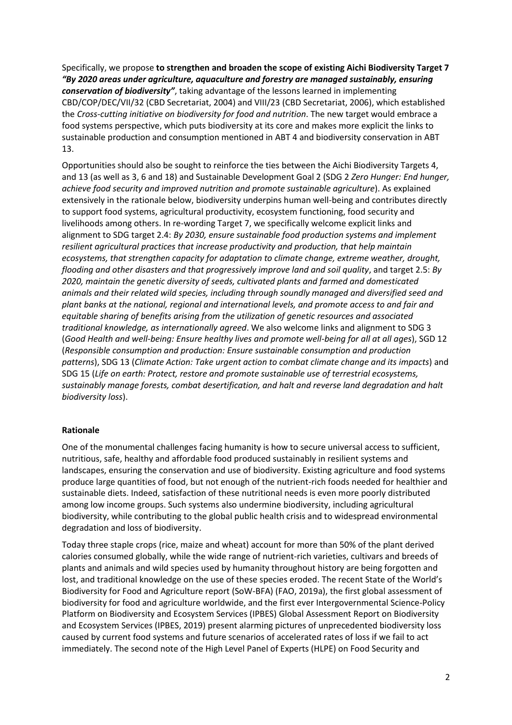Specifically, we propose **to strengthen and broaden the scope of existing Aichi Biodiversity Target 7** *"By 2020 areas under agriculture, aquaculture and forestry are managed sustainably, ensuring conservation of biodiversity"*, taking advantage of the lessons learned in implementing CBD/COP/DEC/VII/32 (CBD Secretariat, 2004) and VIII/23 (CBD Secretariat, 2006), which established the *Cross-cutting initiative on biodiversity for food and nutrition*. The new target would embrace a food systems perspective, which puts biodiversity at its core and makes more explicit the links to sustainable production and consumption mentioned in ABT 4 and biodiversity conservation in ABT 13.

Opportunities should also be sought to reinforce the ties between the Aichi Biodiversity Targets 4, and 13 (as well as 3, 6 and 18) and Sustainable Development Goal 2 (SDG 2 *Zero Hunger: End hunger, achieve food security and improved nutrition and promote sustainable agriculture*). As explained extensively in the rationale below, biodiversity underpins human well-being and contributes directly to support food systems, agricultural productivity, ecosystem functioning, food security and livelihoods among others. In re-wording Target 7, we specifically welcome explicit links and alignment to SDG target 2.4: *By 2030, ensure sustainable food production systems and implement resilient agricultural practices that increase productivity and production, that help maintain ecosystems, that strengthen capacity for adaptation to climate change, extreme weather, drought, flooding and other disasters and that progressively improve land and soil quality*, and target 2.5: *By 2020, maintain the genetic diversity of seeds, cultivated plants and farmed and domesticated animals and their related wild species, including through soundly managed and diversified seed and plant banks at the national, regional and international levels, and promote access to and fair and equitable sharing of benefits arising from the utilization of genetic resources and associated traditional knowledge, as internationally agreed*. We also welcome links and alignment to SDG 3 (*Good Health and well-being: Ensure healthy lives and promote well-being for all at all ages*), SGD 12 (*Responsible consumption and production: Ensure sustainable consumption and production patterns*), SDG 13 (*Climate Action: Take urgent action to combat climate change and its impacts*) and SDG 15 (*Life on earth: Protect, restore and promote sustainable use of terrestrial ecosystems, sustainably manage forests, combat desertification, and halt and reverse land degradation and halt biodiversity loss*).

#### **Rationale**

One of the monumental challenges facing humanity is how to secure universal access to sufficient, nutritious, safe, healthy and affordable food produced sustainably in resilient systems and landscapes, ensuring the conservation and use of biodiversity. Existing agriculture and food systems produce large quantities of food, but not enough of the nutrient-rich foods needed for healthier and sustainable diets. Indeed, satisfaction of these nutritional needs is even more poorly distributed among low income groups. Such systems also undermine biodiversity, including agricultural biodiversity, while contributing to the global public health crisis and to widespread environmental degradation and loss of biodiversity.

Today three staple crops (rice, maize and wheat) account for more than 50% of the plant derived calories consumed globally, while the wide range of nutrient-rich varieties, cultivars and breeds of plants and animals and wild species used by humanity throughout history are being forgotten and lost, and traditional knowledge on the use of these species eroded. The recent State of the World's Biodiversity for Food and Agriculture report (SoW-BFA) (FAO, 2019a), the first global assessment of biodiversity for food and agriculture worldwide, and the first ever Intergovernmental Science-Policy Platform on Biodiversity and Ecosystem Services (IPBES) Global Assessment Report on Biodiversity and Ecosystem Services (IPBES, 2019) present alarming pictures of unprecedented biodiversity loss caused by current food systems and future scenarios of accelerated rates of loss if we fail to act immediately. The second note of the High Level Panel of Experts (HLPE) on Food Security and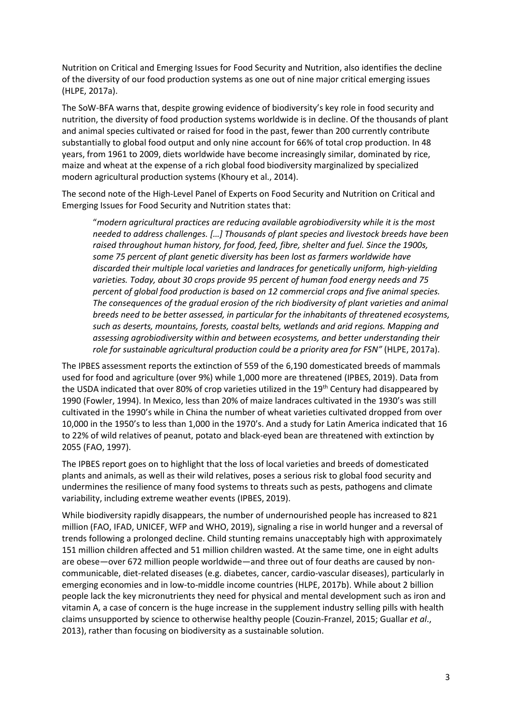Nutrition on Critical and Emerging Issues for Food Security and Nutrition, also identifies the decline of the diversity of our food production systems as one out of nine major critical emerging issues (HLPE, 2017a).

The SoW-BFA warns that, despite growing evidence of biodiversity's key role in food security and nutrition, the diversity of food production systems worldwide is in decline. Of the thousands of plant and animal species cultivated or raised for food in the past, fewer than 200 currently contribute substantially to global food output and only nine account for 66% of total crop production. In 48 years, from 1961 to 2009, diets worldwide have become increasingly similar, dominated by rice, maize and wheat at the expense of a rich global food biodiversity marginalized by specialized modern agricultural production systems (Khoury et al., 2014).

The second note of the High-Level Panel of Experts on Food Security and Nutrition on Critical and Emerging Issues for Food Security and Nutrition states that:

"*modern agricultural practices are reducing available agrobiodiversity while it is the most needed to address challenges. […] Thousands of plant species and livestock breeds have been raised throughout human history, for food, feed, fibre, shelter and fuel. Since the 1900s, some 75 percent of plant genetic diversity has been lost as farmers worldwide have discarded their multiple local varieties and landraces for genetically uniform, high-yielding varieties. Today, about 30 crops provide 95 percent of human food energy needs and 75 percent of global food production is based on 12 commercial crops and five animal species. The consequences of the gradual erosion of the rich biodiversity of plant varieties and animal breeds need to be better assessed, in particular for the inhabitants of threatened ecosystems, such as deserts, mountains, forests, coastal belts, wetlands and arid regions. Mapping and assessing agrobiodiversity within and between ecosystems, and better understanding their role for sustainable agricultural production could be a priority area for FSN"* (HLPE, 2017a).

The IPBES assessment reports the extinction of 559 of the 6,190 domesticated breeds of mammals used for food and agriculture (over 9%) while 1,000 more are threatened (IPBES, 2019). Data from the USDA indicated that over 80% of crop varieties utilized in the 19<sup>th</sup> Century had disappeared by 1990 (Fowler, 1994). In Mexico, less than 20% of maize landraces cultivated in the 1930's was still cultivated in the 1990's while in China the number of wheat varieties cultivated dropped from over 10,000 in the 1950's to less than 1,000 in the 1970's. And a study for Latin America indicated that 16 to 22% of wild relatives of peanut, potato and black-eyed bean are threatened with extinction by 2055 (FAO, 1997).

The IPBES report goes on to highlight that the loss of local varieties and breeds of domesticated plants and animals, as well as their wild relatives, poses a serious risk to global food security and undermines the resilience of many food systems to threats such as pests, pathogens and climate variability, including extreme weather events (IPBES, 2019).

While biodiversity rapidly disappears, the number of undernourished people has increased to 821 million (FAO, IFAD, UNICEF, WFP and WHO, 2019), signaling a rise in world hunger and a reversal of trends following a prolonged decline. Child stunting remains unacceptably high with approximately 151 million children affected and 51 million children wasted. At the same time, one in eight adults are obese—over 672 million people worldwide—and three out of four deaths are caused by noncommunicable, diet-related diseases (e.g. diabetes, cancer, cardio-vascular diseases), particularly in emerging economies and in low-to-middle income countries (HLPE, 2017b). While about 2 billion people lack the key micronutrients they need for physical and mental development such as iron and vitamin A, a case of concern is the huge increase in the supplement industry selling pills with health claims unsupported by science to otherwise healthy people (Couzin-Franzel, 2015; Guallar *et al*., 2013), rather than focusing on biodiversity as a sustainable solution.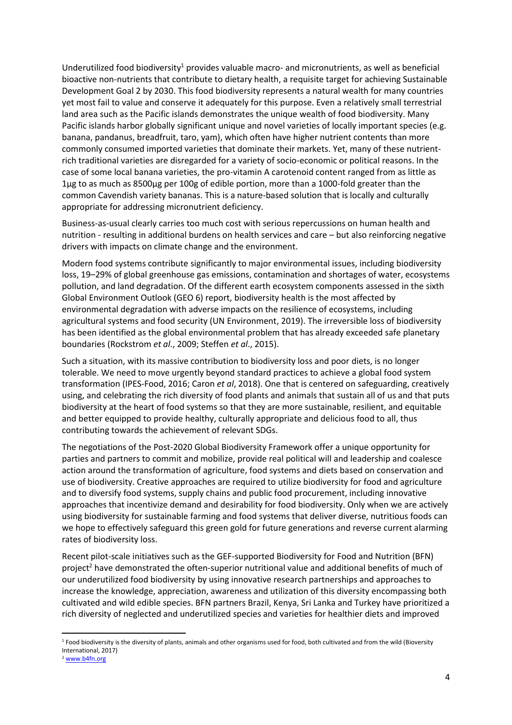Underutilized food biodiversity<sup>1</sup> provides valuable macro- and micronutrients, as well as beneficial bioactive non-nutrients that contribute to dietary health, a requisite target for achieving Sustainable Development Goal 2 by 2030. This food biodiversity represents a natural wealth for many countries yet most fail to value and conserve it adequately for this purpose. Even a relatively small terrestrial land area such as the Pacific islands demonstrates the unique wealth of food biodiversity. Many Pacific islands harbor globally significant unique and novel varieties of locally important species (e.g. banana, pandanus, breadfruit, taro, yam), which often have higher nutrient contents than more commonly consumed imported varieties that dominate their markets. Yet, many of these nutrientrich traditional varieties are disregarded for a variety of socio-economic or political reasons. In the case of some local banana varieties, the pro-vitamin A carotenoid content ranged from as little as 1μg to as much as 8500μg per 100g of edible portion, more than a 1000-fold greater than the common Cavendish variety bananas. This is a nature-based solution that is locally and culturally appropriate for addressing micronutrient deficiency.

Business-as-usual clearly carries too much cost with serious repercussions on human health and nutrition - resulting in additional burdens on health services and care – but also reinforcing negative drivers with impacts on climate change and the environment.

Modern food systems contribute significantly to major environmental issues, including biodiversity loss, 19–29% of global greenhouse gas emissions, contamination and shortages of water, ecosystems pollution, and land degradation. Of the different earth ecosystem components assessed in the sixth Global Environment Outlook (GEO 6) report, biodiversity health is the most affected by environmental degradation with adverse impacts on the resilience of ecosystems, including agricultural systems and food security (UN Environment, 2019). The irreversible loss of biodiversity has been identified as the global environmental problem that has already exceeded safe planetary boundaries (Rockstrom *et al*., 2009; Steffen *et al*., 2015).

Such a situation, with its massive contribution to biodiversity loss and poor diets, is no longer tolerable. We need to move urgently beyond standard practices to achieve a global food system transformation (IPES-Food, 2016; Caron *et al*, 2018). One that is centered on safeguarding, creatively using, and celebrating the rich diversity of food plants and animals that sustain all of us and that puts biodiversity at the heart of food systems so that they are more sustainable, resilient, and equitable and better equipped to provide healthy, culturally appropriate and delicious food to all, thus contributing towards the achievement of relevant SDGs.

The negotiations of the Post-2020 Global Biodiversity Framework offer a unique opportunity for parties and partners to commit and mobilize, provide real political will and leadership and coalesce action around the transformation of agriculture, food systems and diets based on conservation and use of biodiversity. Creative approaches are required to utilize biodiversity for food and agriculture and to diversify food systems, supply chains and public food procurement, including innovative approaches that incentivize demand and desirability for food biodiversity. Only when we are actively using biodiversity for sustainable farming and food systems that deliver diverse, nutritious foods can we hope to effectively safeguard this green gold for future generations and reverse current alarming rates of biodiversity loss.

Recent pilot-scale initiatives such as the GEF-supported Biodiversity for Food and Nutrition (BFN) project<sup>2</sup> have demonstrated the often-superior nutritional value and additional benefits of much of our underutilized food biodiversity by using innovative research partnerships and approaches to increase the knowledge, appreciation, awareness and utilization of this diversity encompassing both cultivated and wild edible species. BFN partners Brazil, Kenya, Sri Lanka and Turkey have prioritized a rich diversity of neglected and underutilized species and varieties for healthier diets and improved

**.** 

<sup>&</sup>lt;sup>1</sup> Food biodiversity is the diversity of plants, animals and other organisms used for food, both cultivated and from the wild (Bioversity International, 2017)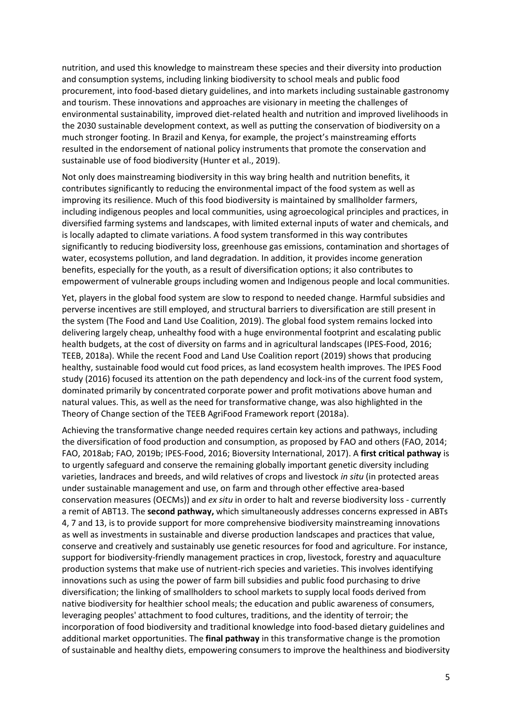nutrition, and used this knowledge to mainstream these species and their diversity into production and consumption systems, including linking biodiversity to school meals and public food procurement, into food-based dietary guidelines, and into markets including sustainable gastronomy and tourism. These innovations and approaches are visionary in meeting the challenges of environmental sustainability, improved diet-related health and nutrition and improved livelihoods in the 2030 sustainable development context, as well as putting the conservation of biodiversity on a much stronger footing. In Brazil and Kenya, for example, the project's mainstreaming efforts resulted in the endorsement of national policy instruments that promote the conservation and sustainable use of food biodiversity (Hunter et al., 2019).

Not only does mainstreaming biodiversity in this way bring health and nutrition benefits, it contributes significantly to reducing the environmental impact of the food system as well as improving its resilience. Much of this food biodiversity is maintained by smallholder farmers, including indigenous peoples and local communities, using agroecological principles and practices, in diversified farming systems and landscapes, with limited external inputs of water and chemicals, and is locally adapted to climate variations. A food system transformed in this way contributes significantly to reducing biodiversity loss, greenhouse gas emissions, contamination and shortages of water, ecosystems pollution, and land degradation. In addition, it provides income generation benefits, especially for the youth, as a result of diversification options; it also contributes to empowerment of vulnerable groups including women and Indigenous people and local communities.

Yet, players in the global food system are slow to respond to needed change. Harmful subsidies and perverse incentives are still employed, and structural barriers to diversification are still present in the system (The Food and Land Use Coalition, 2019). The global food system remains locked into delivering largely cheap, unhealthy food with a huge environmental footprint and escalating public health budgets, at the cost of diversity on farms and in agricultural landscapes (IPES-Food, 2016; TEEB, 2018a). While the recent Food and Land Use Coalition report (2019) shows that producing healthy, sustainable food would cut food prices, as land ecosystem health improves. The IPES Food study (2016) focused its attention on the path dependency and lock-ins of the current food system, dominated primarily by concentrated corporate power and profit motivations above human and natural values. This, as well as the need for transformative change, was also highlighted in the Theory of Change section of the TEEB AgriFood Framework report (2018a).

Achieving the transformative change needed requires certain key actions and pathways, including the diversification of food production and consumption, as proposed by FAO and others (FAO, 2014; FAO, 2018ab; FAO, 2019b; IPES-Food, 2016; Bioversity International, 2017). A **first critical pathway** is to urgently safeguard and conserve the remaining globally important genetic diversity including varieties, landraces and breeds, and wild relatives of crops and livestock *in situ* (in protected areas under sustainable management and use, on farm and through other effective area-based conservation measures (OECMs)) and *ex situ* in order to halt and reverse biodiversity loss - currently a remit of ABT13. The **second pathway,** which simultaneously addresses concerns expressed in ABTs 4, 7 and 13, is to provide support for more comprehensive biodiversity mainstreaming innovations as well as investments in sustainable and diverse production landscapes and practices that value, conserve and creatively and sustainably use genetic resources for food and agriculture. For instance, support for biodiversity-friendly management practices in crop, livestock, forestry and aquaculture production systems that make use of nutrient-rich species and varieties. This involves identifying innovations such as using the power of farm bill subsidies and public food purchasing to drive diversification; the linking of smallholders to school markets to supply local foods derived from native biodiversity for healthier school meals; the education and public awareness of consumers, leveraging peoples' attachment to food cultures, traditions, and the identity of terroir; the incorporation of food biodiversity and traditional knowledge into food-based dietary guidelines and additional market opportunities. The **final pathway** in this transformative change is the promotion of sustainable and healthy diets, empowering consumers to improve the healthiness and biodiversity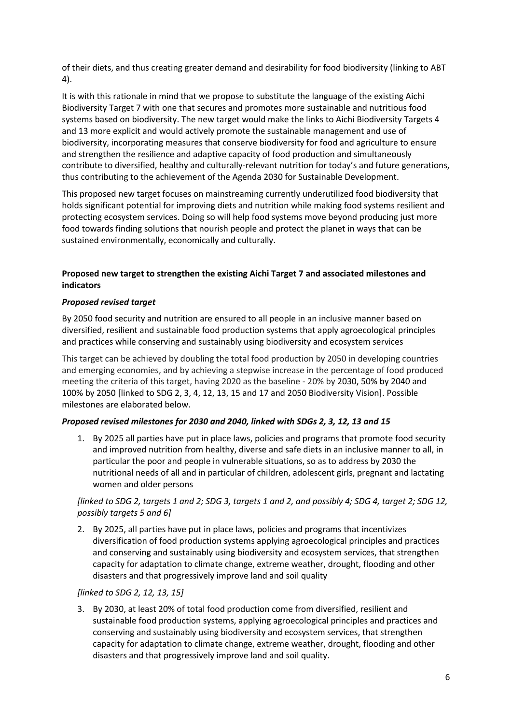of their diets, and thus creating greater demand and desirability for food biodiversity (linking to ABT 4).

It is with this rationale in mind that we propose to substitute the language of the existing Aichi Biodiversity Target 7 with one that secures and promotes more sustainable and nutritious food systems based on biodiversity. The new target would make the links to Aichi Biodiversity Targets 4 and 13 more explicit and would actively promote the sustainable management and use of biodiversity, incorporating measures that conserve biodiversity for food and agriculture to ensure and strengthen the resilience and adaptive capacity of food production and simultaneously contribute to diversified, healthy and culturally-relevant nutrition for today's and future generations, thus contributing to the achievement of the Agenda 2030 for Sustainable Development.

This proposed new target focuses on mainstreaming currently underutilized food biodiversity that holds significant potential for improving diets and nutrition while making food systems resilient and protecting ecosystem services. Doing so will help food systems move beyond producing just more food towards finding solutions that nourish people and protect the planet in ways that can be sustained environmentally, economically and culturally.

## **Proposed new target to strengthen the existing Aichi Target 7 and associated milestones and indicators**

## *Proposed revised target*

By 2050 food security and nutrition are ensured to all people in an inclusive manner based on diversified, resilient and sustainable food production systems that apply agroecological principles and practices while conserving and sustainably using biodiversity and ecosystem services

This target can be achieved by doubling the total food production by 2050 in developing countries and emerging economies, and by achieving a stepwise increase in the percentage of food produced meeting the criteria of this target, having 2020 as the baseline - 20% by 2030, 50% by 2040 and 100% by 2050 [linked to SDG 2, 3, 4, 12, 13, 15 and 17 and 2050 Biodiversity Vision]. Possible milestones are elaborated below.

# *Proposed revised milestones for 2030 and 2040, linked with SDGs 2, 3, 12, 13 and 15*

1. By 2025 all parties have put in place laws, policies and programs that promote food security and improved nutrition from healthy, diverse and safe diets in an inclusive manner to all, in particular the poor and people in vulnerable situations, so as to address by 2030 the nutritional needs of all and in particular of children, adolescent girls, pregnant and lactating women and older persons

# *[linked to SDG 2, targets 1 and 2; SDG 3, targets 1 and 2, and possibly 4; SDG 4, target 2; SDG 12, possibly targets 5 and 6]*

2. By 2025, all parties have put in place laws, policies and programs that incentivizes diversification of food production systems applying agroecological principles and practices and conserving and sustainably using biodiversity and ecosystem services, that strengthen capacity for adaptation to climate change, extreme weather, drought, flooding and other disasters and that progressively improve land and soil quality

# *[linked to SDG 2, 12, 13, 15]*

3. By 2030, at least 20% of total food production come from diversified, resilient and sustainable food production systems, applying agroecological principles and practices and conserving and sustainably using biodiversity and ecosystem services, that strengthen capacity for adaptation to climate change, extreme weather, drought, flooding and other disasters and that progressively improve land and soil quality.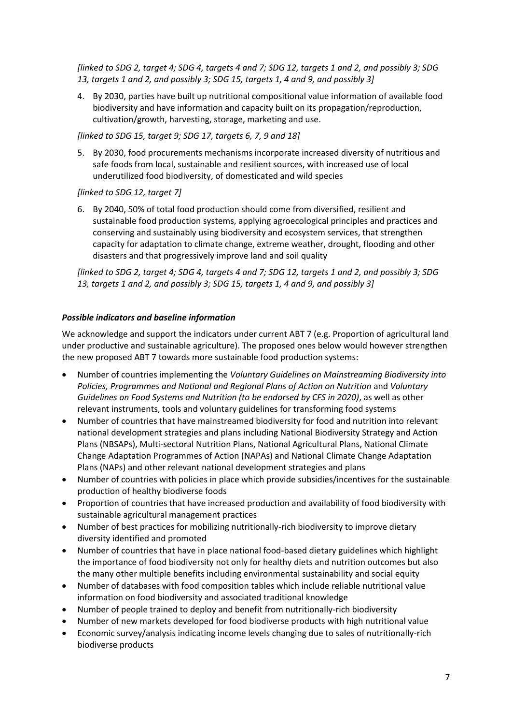*[linked to SDG 2, target 4; SDG 4, targets 4 and 7; SDG 12, targets 1 and 2, and possibly 3; SDG 13, targets 1 and 2, and possibly 3; SDG 15, targets 1, 4 and 9, and possibly 3]*

4. By 2030, parties have built up nutritional compositional value information of available food biodiversity and have information and capacity built on its propagation/reproduction, cultivation/growth, harvesting, storage, marketing and use.

*[linked to SDG 15, target 9; SDG 17, targets 6, 7, 9 and 18]*

5. By 2030, food procurements mechanisms incorporate increased diversity of nutritious and safe foods from local, sustainable and resilient sources, with increased use of local underutilized food biodiversity, of domesticated and wild species

*[linked to SDG 12, target 7]*

6. By 2040, 50% of total food production should come from diversified, resilient and sustainable food production systems, applying agroecological principles and practices and conserving and sustainably using biodiversity and ecosystem services, that strengthen capacity for adaptation to climate change, extreme weather, drought, flooding and other disasters and that progressively improve land and soil quality

*[linked to SDG 2, target 4; SDG 4, targets 4 and 7; SDG 12, targets 1 and 2, and possibly 3; SDG 13, targets 1 and 2, and possibly 3; SDG 15, targets 1, 4 and 9, and possibly 3]*

## *Possible indicators and baseline information*

We acknowledge and support the indicators under current ABT 7 (e.g. Proportion of agricultural land under productive and sustainable agriculture). The proposed ones below would however strengthen the new proposed ABT 7 towards more sustainable food production systems:

- Number of countries implementing the *Voluntary Guidelines on Mainstreaming Biodiversity into Policies, Programmes and National and Regional Plans of Action on Nutrition and Voluntary Guidelines on Food Systems and Nutrition (to be endorsed by CFS in 2020)*, as well as other relevant instruments, tools and voluntary guidelines for transforming food systems
- Number of countries that have mainstreamed biodiversity for food and nutrition into relevant national development strategies and plans including National Biodiversity Strategy and Action Plans (NBSAPs), Multi-sectoral Nutrition Plans, National Agricultural Plans, National Climate Change Adaptation Programmes of Action (NAPAs) and National Climate Change Adaptation Plans (NAPs) and other relevant national development strategies and plans
- Number of countries with policies in place which provide subsidies/incentives for the sustainable production of healthy biodiverse foods
- Proportion of countries that have increased production and availability of food biodiversity with sustainable agricultural management practices
- Number of best practices for mobilizing nutritionally-rich biodiversity to improve dietary diversity identified and promoted
- Number of countries that have in place national food-based dietary guidelines which highlight the importance of food biodiversity not only for healthy diets and nutrition outcomes but also the many other multiple benefits including environmental sustainability and social equity
- Number of databases with food composition tables which include reliable nutritional value information on food biodiversity and associated traditional knowledge
- Number of people trained to deploy and benefit from nutritionally-rich biodiversity
- Number of new markets developed for food biodiverse products with high nutritional value
- Economic survey/analysis indicating income levels changing due to sales of nutritionally-rich biodiverse products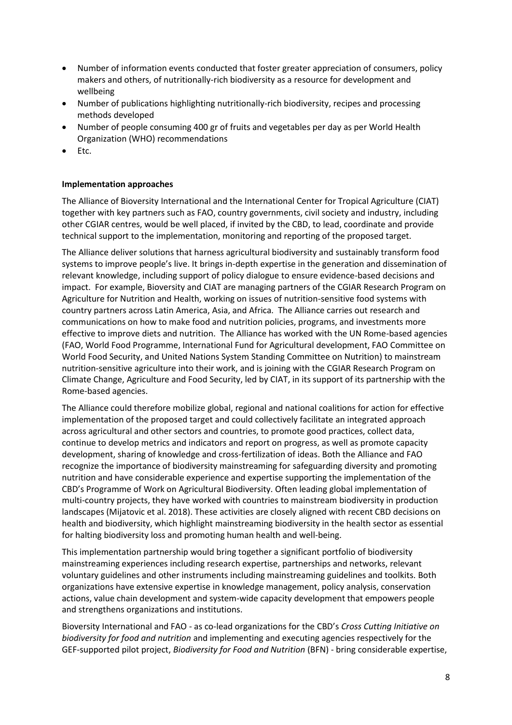- Number of information events conducted that foster greater appreciation of consumers, policy makers and others, of nutritionally-rich biodiversity as a resource for development and wellbeing
- Number of publications highlighting nutritionally-rich biodiversity, recipes and processing methods developed
- Number of people consuming 400 gr of fruits and vegetables per day as per World Health Organization (WHO) recommendations
- Etc.

# **Implementation approaches**

The Alliance of Bioversity International and the International Center for Tropical Agriculture (CIAT) together with key partners such as FAO, country governments, civil society and industry, including other CGIAR centres, would be well placed, if invited by the CBD, to lead, coordinate and provide technical support to the implementation, monitoring and reporting of the proposed target.

The Alliance deliver solutions that harness agricultural biodiversity and sustainably transform food systems to improve people's live. It brings in-depth expertise in the generation and dissemination of relevant knowledge, including support of policy dialogue to ensure evidence-based decisions and impact. For example, Bioversity and CIAT are managing partners of the CGIAR Research Program on Agriculture for Nutrition and Health, working on issues of nutrition-sensitive food systems with country partners across Latin America, Asia, and Africa. The Alliance carries out research and communications on how to make food and nutrition policies, programs, and investments more effective to improve diets and nutrition. The Alliance has worked with the UN Rome-based agencies (FAO, World Food Programme, International Fund for Agricultural development, FAO Committee on World Food Security, and United Nations System Standing Committee on Nutrition) to mainstream nutrition-sensitive agriculture into their work, and is joining with the CGIAR Research Program on Climate Change, Agriculture and Food Security, led by CIAT, in its support of its partnership with the Rome-based agencies.

The Alliance could therefore mobilize global, regional and national coalitions for action for effective implementation of the proposed target and could collectively facilitate an integrated approach across agricultural and other sectors and countries, to promote good practices, collect data, continue to develop metrics and indicators and report on progress, as well as promote capacity development, sharing of knowledge and cross-fertilization of ideas. Both the Alliance and FAO recognize the importance of biodiversity mainstreaming for safeguarding diversity and promoting nutrition and have considerable experience and expertise supporting the implementation of the CBD's Programme of Work on Agricultural Biodiversity. Often leading global implementation of multi-country projects, they have worked with countries to mainstream biodiversity in production landscapes (Mijatovic et al. 2018). These activities are closely aligned with recent CBD decisions on health and biodiversity, which highlight mainstreaming biodiversity in the health sector as essential for halting biodiversity loss and promoting human health and well-being.

This implementation partnership would bring together a significant portfolio of biodiversity mainstreaming experiences including research expertise, partnerships and networks, relevant voluntary guidelines and other instruments including mainstreaming guidelines and toolkits. Both organizations have extensive expertise in knowledge management, policy analysis, conservation actions, value chain development and system-wide capacity development that empowers people and strengthens organizations and institutions.

Bioversity International and FAO - as co-lead organizations for the CBD's *Cross Cutting Initiative on biodiversity for food and nutrition* and implementing and executing agencies respectively for the GEF-supported pilot project, *Biodiversity for Food and Nutrition* (BFN) - bring considerable expertise,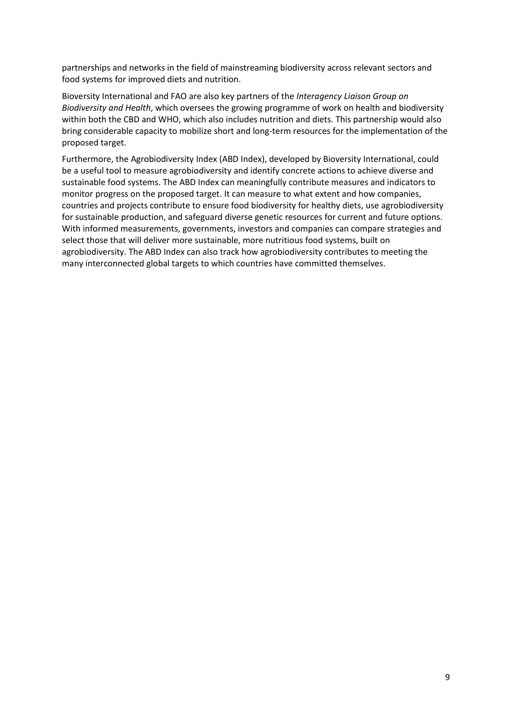partnerships and networks in the field of mainstreaming biodiversity across relevant sectors and food systems for improved diets and nutrition.

Bioversity International and FAO are also key partners of the *Interagency Liaison Group on Biodiversity and Health*, which oversees the growing programme of work on health and biodiversity within both the CBD and WHO, which also includes nutrition and diets. This partnership would also bring considerable capacity to mobilize short and long-term resources for the implementation of the proposed target.

Furthermore, the Agrobiodiversity Index (ABD Index), developed by Bioversity International, could be a useful tool to measure agrobiodiversity and identify concrete actions to achieve diverse and sustainable food systems. The ABD Index can meaningfully contribute measures and indicators to monitor progress on the proposed target. It can measure to what extent and how companies, countries and projects contribute to ensure food biodiversity for healthy diets, use agrobiodiversity for sustainable production, and safeguard diverse genetic resources for current and future options. With informed measurements, governments, investors and companies can compare strategies and select those that will deliver more sustainable, more nutritious food systems, built on agrobiodiversity. The ABD Index can also track how agrobiodiversity contributes to meeting the many interconnected global targets to which countries have committed themselves.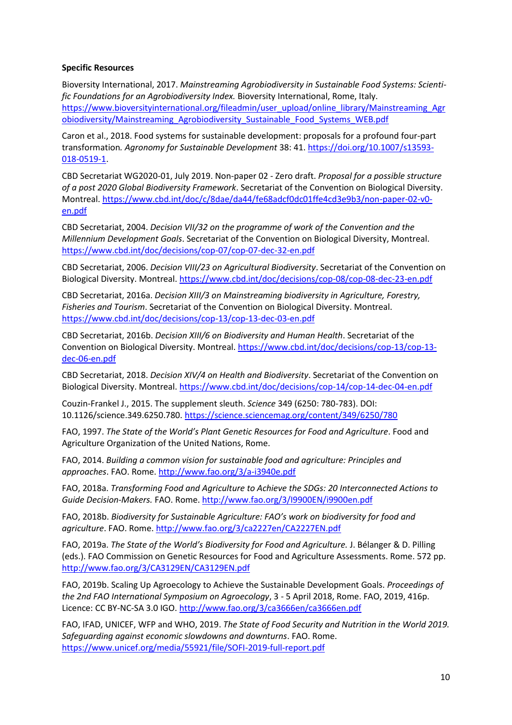#### **Specific Resources**

Bioversity International, 2017. *Mainstreaming Agrobiodiversity in Sustainable Food Systems: Scientific Foundations for an Agrobiodiversity Index.* Bioversity International, Rome, Italy. [https://www.bioversityinternational.org/fileadmin/user\\_upload/online\\_library/Mainstreaming\\_Agr](https://www.bioversityinternational.org/fileadmin/user_upload/online_library/Mainstreaming_Agrobiodiversity/Mainstreaming_Agrobiodiversity_Sustainable_Food_Systems_WEB.pdf) [obiodiversity/Mainstreaming\\_Agrobiodiversity\\_Sustainable\\_Food\\_Systems\\_WEB.pdf](https://www.bioversityinternational.org/fileadmin/user_upload/online_library/Mainstreaming_Agrobiodiversity/Mainstreaming_Agrobiodiversity_Sustainable_Food_Systems_WEB.pdf)

Caron et al., 2018. Food systems for sustainable development: proposals for a profound four-part transformation*. Agronomy for Sustainable Development* 38: 41. [https://doi.org/10.1007/s13593-](https://doi.org/10.1007/s13593-018-0519-1) [018-0519-1.](https://doi.org/10.1007/s13593-018-0519-1)

CBD Secretariat WG2020-01, July 2019. Non-paper 02 - Zero draft. *Proposal for a possible structure of a post 2020 Global Biodiversity Framework*. Secretariat of the Convention on Biological Diversity. Montreal. [https://www.cbd.int/doc/c/8dae/da44/fe68adcf0dc01ffe4cd3e9b3/non-paper-02-v0](https://www.cbd.int/doc/c/8dae/da44/fe68adcf0dc01ffe4cd3e9b3/non-paper-02-v0-en.pdf) [en.pdf](https://www.cbd.int/doc/c/8dae/da44/fe68adcf0dc01ffe4cd3e9b3/non-paper-02-v0-en.pdf)

CBD Secretariat, 2004. *Decision VII/32 on the programme of work of the Convention and the Millennium Development Goals*. Secretariat of the Convention on Biological Diversity, Montreal. <https://www.cbd.int/doc/decisions/cop-07/cop-07-dec-32-en.pdf>

CBD Secretariat, 2006. *Decision VIII/23 on Agricultural Biodiversity*. Secretariat of the Convention on Biological Diversity. Montreal[. https://www.cbd.int/doc/decisions/cop-08/cop-08-dec-23-en.pdf](https://www.cbd.int/doc/decisions/cop-08/cop-08-dec-23-en.pdf)

CBD Secretariat, 2016a. *Decision XIII/3 on Mainstreaming biodiversity in Agriculture, Forestry, Fisheries and Tourism*. Secretariat of the Convention on Biological Diversity. Montreal. <https://www.cbd.int/doc/decisions/cop-13/cop-13-dec-03-en.pdf>

CBD Secretariat, 2016b. *Decision XIII/6 on Biodiversity and Human Health*. Secretariat of the Convention on Biological Diversity. Montreal. [https://www.cbd.int/doc/decisions/cop-13/cop-13](https://www.cbd.int/doc/decisions/cop-13/cop-13-dec-06-en.pdf) [dec-06-en.pdf](https://www.cbd.int/doc/decisions/cop-13/cop-13-dec-06-en.pdf)

CBD Secretariat, 2018. *Decision XIV/4 on Health and Biodiversity*. Secretariat of the Convention on Biological Diversity. Montreal. <https://www.cbd.int/doc/decisions/cop-14/cop-14-dec-04-en.pdf>

Couzin-Frankel J., 2015. The supplement sleuth. *Science* 349 (6250: 780-783). DOI: 10.1126/science.349.6250.780[. https://science.sciencemag.org/content/349/6250/780](https://science.sciencemag.org/content/349/6250/780)

FAO, 1997. *The State of the World's Plant Genetic Resources for Food and Agriculture*. Food and Agriculture Organization of the United Nations, Rome.

FAO, 2014. *Building a common vision for sustainable food and agriculture: Principles and approaches*. FAO. Rome. <http://www.fao.org/3/a-i3940e.pdf>

FAO, 2018a. *Transforming Food and Agriculture to Achieve the SDGs: 20 Interconnected Actions to Guide Decision-Makers.* FAO. Rome.<http://www.fao.org/3/I9900EN/i9900en.pdf>

FAO, 2018b. *Biodiversity for Sustainable Agriculture: FAO's work on biodiversity for food and agriculture*. FAO. Rome.<http://www.fao.org/3/ca2227en/CA2227EN.pdf>

FAO, 2019a. *The State of the World's Biodiversity for Food and Agriculture.* J. Bélanger & D. Pilling (eds.). FAO Commission on Genetic Resources for Food and Agriculture Assessments. Rome. 572 pp. <http://www.fao.org/3/CA3129EN/CA3129EN.pdf>

FAO, 2019b. Scaling Up Agroecology to Achieve the Sustainable Development Goals. *Proceedings of the 2nd FAO International Symposium on Agroecology*, 3 - 5 April 2018, Rome. FAO, 2019, 416p. Licence: CC BY-NC-SA 3.0 IGO[. http://www.fao.org/3/ca3666en/ca3666en.pdf](http://www.fao.org/3/ca3666en/ca3666en.pdf)

FAO, IFAD, UNICEF, WFP and WHO, 2019. *The State of Food Security and Nutrition in the World 2019. Safeguarding against economic slowdowns and downturns*. FAO. Rome. <https://www.unicef.org/media/55921/file/SOFI-2019-full-report.pdf>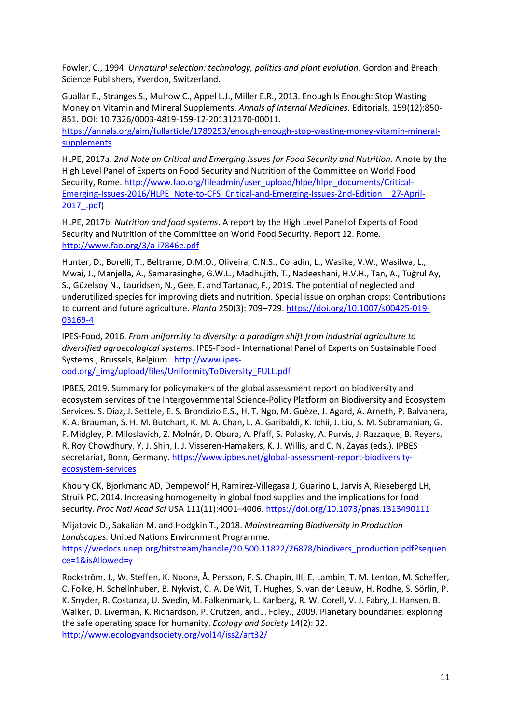Fowler, C., 1994. *Unnatural selection: technology, politics and plant evolution*. Gordon and Breach Science Publishers, Yverdon, Switzerland.

Guallar E., Stranges S., Mulrow C., Appel L.J., Miller E.R., 2013. Enough Is Enough: Stop Wasting Money on Vitamin and Mineral Supplements. *Annals of Internal Medicines*. Editorials. 159(12):850- 851. DOI: 10.7326/0003-4819-159-12-201312170-00011.

[https://annals.org/aim/fullarticle/1789253/enough-enough-stop-wasting-money-vitamin-mineral](https://annals.org/aim/fullarticle/1789253/enough-enough-stop-wasting-money-vitamin-mineral-supplements)[supplements](https://annals.org/aim/fullarticle/1789253/enough-enough-stop-wasting-money-vitamin-mineral-supplements)

HLPE, 2017a. *2nd Note on Critical and Emerging Issues for Food Security and Nutrition*. A note by the High Level Panel of Experts on Food Security and Nutrition of the Committee on World Food Security, Rome[. http://www.fao.org/fileadmin/user\\_upload/hlpe/hlpe\\_documents/Critical-](http://www.fao.org/fileadmin/user_upload/hlpe/hlpe_documents/Critical-Emerging-Issues-2016/HLPE_Note-to-CFS_Critical-and-Emerging-Issues-2nd-Edition__27-April-2017_.pdf)[Emerging-Issues-2016/HLPE\\_Note-to-CFS\\_Critical-and-Emerging-Issues-2nd-Edition\\_\\_27-April-](http://www.fao.org/fileadmin/user_upload/hlpe/hlpe_documents/Critical-Emerging-Issues-2016/HLPE_Note-to-CFS_Critical-and-Emerging-Issues-2nd-Edition__27-April-2017_.pdf)[2017\\_.pdf\)](http://www.fao.org/fileadmin/user_upload/hlpe/hlpe_documents/Critical-Emerging-Issues-2016/HLPE_Note-to-CFS_Critical-and-Emerging-Issues-2nd-Edition__27-April-2017_.pdf)

HLPE, 2017b. *Nutrition and food systems*. A report by the High Level Panel of Experts of Food Security and Nutrition of the Committee on World Food Security. Report 12. Rome. <http://www.fao.org/3/a-i7846e.pdf>

Hunter, D., Borelli, T., Beltrame, D.M.O., Oliveira, C.N.S., Coradin, L., Wasike, V.W., Wasilwa, L., Mwai, J., Manjella, A., Samarasinghe, G.W.L., Madhujith, T., Nadeeshani, H.V.H., Tan, A., Tuğrul Ay, S., Güzelsoy N., Lauridsen, N., Gee, E. and Tartanac, F., 2019. The potential of neglected and underutilized species for improving diets and nutrition. Special issue on orphan crops: Contributions to current and future agriculture. *Planta* 250(3): 709–729. [https://doi.org/10.1007/s00425-019-](https://doi.org/10.1007/s00425-019-03169-4) [03169-4](https://doi.org/10.1007/s00425-019-03169-4)

IPES-Food, 2016. *From uniformity to diversity: a paradigm shift from industrial agriculture to diversified agroecological systems.* IPES-Food - International Panel of Experts on Sustainable Food Systems., Brussels, Belgium. [http://www.ipes-](http://www.ipes-ood.org/_img/upload/files/UniformityToDiversity_FULL.pdf)

[ood.org/\\_img/upload/files/UniformityToDiversity\\_FULL.pdf](http://www.ipes-ood.org/_img/upload/files/UniformityToDiversity_FULL.pdf)

IPBES, 2019. Summary for policymakers of the global assessment report on biodiversity and ecosystem services of the Intergovernmental Science-Policy Platform on Biodiversity and Ecosystem Services. S. Díaz, J. Settele, E. S. Brondizio E.S., H. T. Ngo, M. Guèze, J. Agard, A. Arneth, P. Balvanera, K. A. Brauman, S. H. M. Butchart, K. M. A. Chan, L. A. Garibaldi, K. Ichii, J. Liu, S. M. Subramanian, G. F. Midgley, P. Miloslavich, Z. Molnár, D. Obura, A. Pfaff, S. Polasky, A. Purvis, J. Razzaque, B. Reyers, R. Roy Chowdhury, Y. J. Shin, I. J. Visseren-Hamakers, K. J. Willis, and C. N. Zayas (eds.). IPBES secretariat, Bonn, Germany. [https://www.ipbes.net/global-assessment-report-biodiversity](https://www.ipbes.net/global-assessment-report-biodiversity-ecosystem-services)[ecosystem-services](https://www.ipbes.net/global-assessment-report-biodiversity-ecosystem-services)

Khoury CK, Bjorkmanc AD, Dempewolf H, Ramirez-Villegasa J, Guarino L, Jarvis A, Riesebergd LH, Struik PC, 2014. Increasing homogeneity in global food supplies and the implications for food security. *Proc Natl Acad Sci* USA 111(11):4001–4006.<https://doi.org/10.1073/pnas.1313490111>

Mijatovic D., Sakalian M. and Hodgkin T., 2018. *Mainstreaming Biodiversity in Production Landscapes.* United Nations Environment Programme.

[https://wedocs.unep.org/bitstream/handle/20.500.11822/26878/biodivers\\_production.pdf?sequen](https://wedocs.unep.org/bitstream/handle/20.500.11822/26878/biodivers_production.pdf?sequence=1&isAllowed=y) [ce=1&isAllowed=y](https://wedocs.unep.org/bitstream/handle/20.500.11822/26878/biodivers_production.pdf?sequence=1&isAllowed=y)

Rockström, J., W. Steffen, K. Noone, Å. Persson, F. S. Chapin, III, E. Lambin, T. M. Lenton, M. Scheffer, C. Folke, H. Schellnhuber, B. Nykvist, C. A. De Wit, T. Hughes, S. van der Leeuw, H. Rodhe, S. Sörlin, P. K. Snyder, R. Costanza, U. Svedin, M. Falkenmark, L. Karlberg, R. W. Corell, V. J. Fabry, J. Hansen, B. Walker, D. Liverman, K. Richardson, P. Crutzen, and J. Foley., 2009. Planetary boundaries: exploring the safe operating space for humanity. *Ecology and Society* 14(2): 32. <http://www.ecologyandsociety.org/vol14/iss2/art32/>